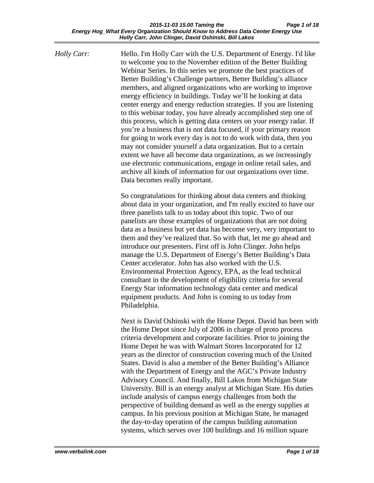*Holly Carr:* Hello. I'm Holly Carr with the U.S. Department of Energy. I'd like to welcome you to the November edition of the Better Building Webinar Series. In this series we promote the best practices of Better Building's Challenge partners, Better Building's alliance members, and aligned organizations who are working to improve energy efficiency in buildings. Today we'll be looking at data center energy and energy reduction strategies. If you are listening to this webinar today, you have already accomplished step one of this process, which is getting data centers on your energy radar. If you're a business that is not data focused, if your primary reason for going to work every day is not to do work with data, then you may not consider yourself a data organization. But to a certain extent we have all become data organizations, as we increasingly use electronic communications, engage in online retail sales, and archive all kinds of information for our organizations over time. Data becomes really important.

> So congratulations for thinking about data centers and thinking about data in your organization, and I'm really excited to have our three panelists talk to us today about this topic. Two of our panelists are those examples of organizations that are not doing data as a business but yet data has become very, very important to them and they've realized that. So with that, let me go ahead and introduce our presenters. First off is John Clinger. John helps manage the U.S. Department of Energy's Better Building's Data Center accelerator. John has also worked with the U.S. Environmental Protection Agency, EPA, as the lead technical consultant in the development of eligibility criteria for several Energy Star information technology data center and medical equipment products. And John is coming to us today from Philadelphia.

Next is David Oshinski with the Home Depot. David has been with the Home Depot since July of 2006 in charge of proto process criteria development and corporate facilities. Prior to joining the Home Depot he was with Walmart Stores Incorporated for 12 years as the director of construction covering much of the United States. David is also a member of the Better Building's Alliance with the Department of Energy and the AGC's Private Industry Advisory Council. And finally, Bill Lakos from Michigan State University. Bill is an energy analyst at Michigan State. His duties include analysis of campus energy challenges from both the perspective of building demand as well as the energy supplies at campus. In his previous position at Michigan State, he managed the day-to-day operation of the campus building automation systems, which serves over 100 buildings and 16 million square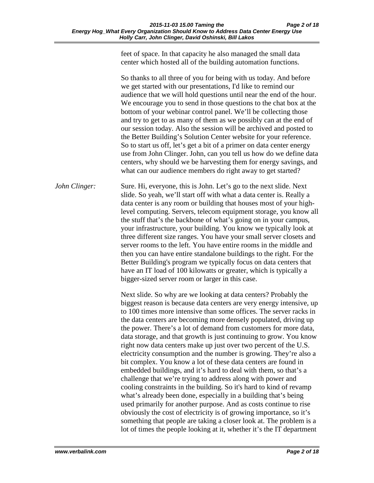feet of space. In that capacity he also managed the small data center which hosted all of the building automation functions.

So thanks to all three of you for being with us today. And before we get started with our presentations, I'd like to remind our audience that we will hold questions until near the end of the hour. We encourage you to send in those questions to the chat box at the bottom of your webinar control panel. We'll be collecting those and try to get to as many of them as we possibly can at the end of our session today. Also the session will be archived and posted to the Better Building's Solution Center website for your reference. So to start us off, let's get a bit of a primer on data center energy use from John Clinger. John, can you tell us how do we define data centers, why should we be harvesting them for energy savings, and what can our audience members do right away to get started?

*John Clinger:* Sure. Hi, everyone, this is John. Let's go to the next slide. Next slide. So yeah, we'll start off with what a data center is. Really a data center is any room or building that houses most of your highlevel computing. Servers, telecom equipment storage, you know all the stuff that's the backbone of what's going on in your campus, your infrastructure, your building. You know we typically look at three different size ranges. You have your small server closets and server rooms to the left. You have entire rooms in the middle and then you can have entire standalone buildings to the right. For the Better Building's program we typically focus on data centers that have an IT load of 100 kilowatts or greater, which is typically a bigger-sized server room or larger in this case.

> Next slide. So why are we looking at data centers? Probably the biggest reason is because data centers are very energy intensive, up to 100 times more intensive than some offices. The server racks in the data centers are becoming more densely populated, driving up the power. There's a lot of demand from customers for more data, data storage, and that growth is just continuing to grow. You know right now data centers make up just over two percent of the U.S. electricity consumption and the number is growing. They're also a bit complex. You know a lot of these data centers are found in embedded buildings, and it's hard to deal with them, so that's a challenge that we're trying to address along with power and cooling constraints in the building. So it's hard to kind of revamp what's already been done, especially in a building that's being used primarily for another purpose. And as costs continue to rise obviously the cost of electricity is of growing importance, so it's something that people are taking a closer look at. The problem is a lot of times the people looking at it, whether it's the IT department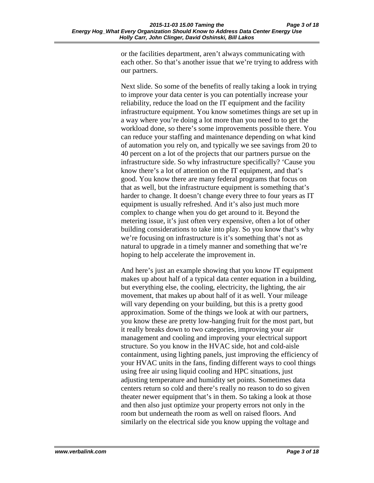or the facilities department, aren't always communicating with each other. So that's another issue that we're trying to address with our partners.

Next slide. So some of the benefits of really taking a look in trying to improve your data center is you can potentially increase your reliability, reduce the load on the IT equipment and the facility infrastructure equipment. You know sometimes things are set up in a way where you're doing a lot more than you need to to get the workload done, so there's some improvements possible there. You can reduce your staffing and maintenance depending on what kind of automation you rely on, and typically we see savings from 20 to 40 percent on a lot of the projects that our partners pursue on the infrastructure side. So why infrastructure specifically? 'Cause you know there's a lot of attention on the IT equipment, and that's good. You know there are many federal programs that focus on that as well, but the infrastructure equipment is something that's harder to change. It doesn't change every three to four years as IT equipment is usually refreshed. And it's also just much more complex to change when you do get around to it. Beyond the metering issue, it's just often very expensive, often a lot of other building considerations to take into play. So you know that's why we're focusing on infrastructure is it's something that's not as natural to upgrade in a timely manner and something that we're hoping to help accelerate the improvement in.

And here's just an example showing that you know IT equipment makes up about half of a typical data center equation in a building, but everything else, the cooling, electricity, the lighting, the air movement, that makes up about half of it as well. Your mileage will vary depending on your building, but this is a pretty good approximation. Some of the things we look at with our partners, you know these are pretty low-hanging fruit for the most part, but it really breaks down to two categories, improving your air management and cooling and improving your electrical support structure. So you know in the HVAC side, hot and cold-aisle containment, using lighting panels, just improving the efficiency of your HVAC units in the fans, finding different ways to cool things using free air using liquid cooling and HPC situations, just adjusting temperature and humidity set points. Sometimes data centers return so cold and there's really no reason to do so given theater newer equipment that's in them. So taking a look at those and then also just optimize your property errors not only in the room but underneath the room as well on raised floors. And similarly on the electrical side you know upping the voltage and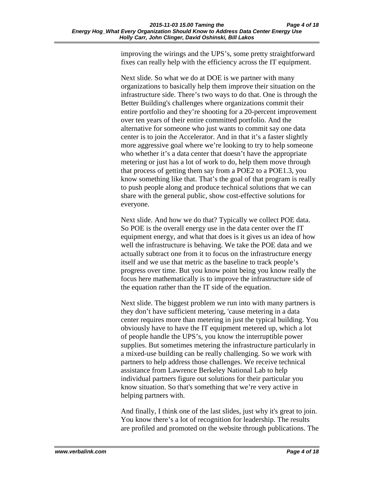improving the wirings and the UPS's, some pretty straightforward fixes can really help with the efficiency across the IT equipment.

Next slide. So what we do at DOE is we partner with many organizations to basically help them improve their situation on the infrastructure side. There's two ways to do that. One is through the Better Building's challenges where organizations commit their entire portfolio and they're shooting for a 20-percent improvement over ten years of their entire committed portfolio. And the alternative for someone who just wants to commit say one data center is to join the Accelerator. And in that it's a faster slightly more aggressive goal where we're looking to try to help someone who whether it's a data center that doesn't have the appropriate metering or just has a lot of work to do, help them move through that process of getting them say from a POE2 to a POE1.3, you know something like that. That's the goal of that program is really to push people along and produce technical solutions that we can share with the general public, show cost-effective solutions for everyone.

Next slide. And how we do that? Typically we collect POE data. So POE is the overall energy use in the data center over the IT equipment energy, and what that does is it gives us an idea of how well the infrastructure is behaving. We take the POE data and we actually subtract one from it to focus on the infrastructure energy itself and we use that metric as the baseline to track people's progress over time. But you know point being you know really the focus here mathematically is to improve the infrastructure side of the equation rather than the IT side of the equation.

Next slide. The biggest problem we run into with many partners is they don't have sufficient metering, 'cause metering in a data center requires more than metering in just the typical building. You obviously have to have the IT equipment metered up, which a lot of people handle the UPS's, you know the interruptible power supplies. But sometimes metering the infrastructure particularly in a mixed-use building can be really challenging. So we work with partners to help address those challenges. We receive technical assistance from Lawrence Berkeley National Lab to help individual partners figure out solutions for their particular you know situation. So that's something that we're very active in helping partners with.

And finally, I think one of the last slides, just why it's great to join. You know there's a lot of recognition for leadership. The results are profiled and promoted on the website through publications. The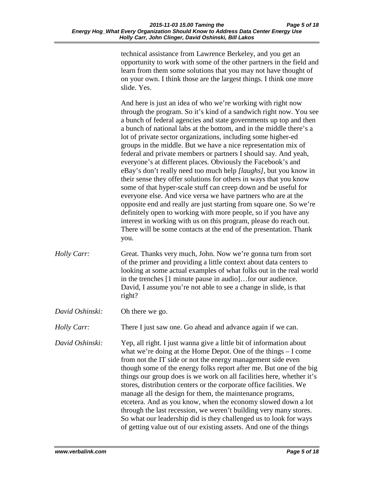technical assistance from Lawrence Berkeley, and you get an opportunity to work with some of the other partners in the field and learn from them some solutions that you may not have thought of on your own. I think those are the largest things. I think one more slide. Yes.

And here is just an idea of who we're working with right now through the program. So it's kind of a sandwich right now. You see a bunch of federal agencies and state governments up top and then a bunch of national labs at the bottom, and in the middle there's a lot of private sector organizations, including some higher-ed groups in the middle. But we have a nice representation mix of federal and private members or partners I should say. And yeah, everyone's at different places. Obviously the Facebook's and eBay's don't really need too much help *[laughs]*, but you know in their sense they offer solutions for others in ways that you know some of that hyper-scale stuff can creep down and be useful for everyone else. And vice versa we have partners who are at the opposite end and really are just starting from square one. So we're definitely open to working with more people, so if you have any interest in working with us on this program, please do reach out. There will be some contacts at the end of the presentation. Thank you.

- *Holly Carr:* Great. Thanks very much, John. Now we're gonna turn from sort of the primer and providing a little context about data centers to looking at some actual examples of what folks out in the real world in the trenches [1 minute pause in audio]…for our audience. David, I assume you're not able to see a change in slide, is that right?
- *David Oshinski:* Oh there we go.

*Holly Carr:* There I just saw one. Go ahead and advance again if we can.

*David Oshinski:* Yep, all right. I just wanna give a little bit of information about what we're doing at the Home Depot. One of the things – I come from not the IT side or not the energy management side even though some of the energy folks report after me. But one of the big things our group does is we work on all facilities here, whether it's stores, distribution centers or the corporate office facilities. We manage all the design for them, the maintenance programs, etcetera. And as you know, when the economy slowed down a lot through the last recession, we weren't building very many stores. So what our leadership did is they challenged us to look for ways of getting value out of our existing assets. And one of the things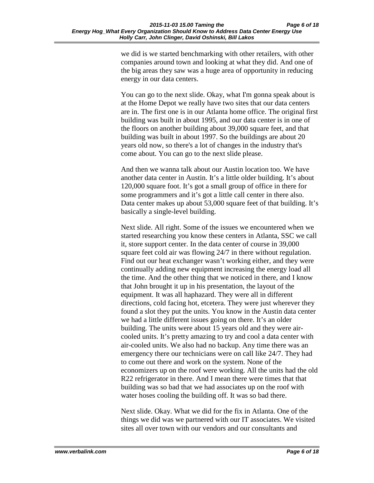we did is we started benchmarking with other retailers, with other companies around town and looking at what they did. And one of the big areas they saw was a huge area of opportunity in reducing energy in our data centers.

You can go to the next slide. Okay, what I'm gonna speak about is at the Home Depot we really have two sites that our data centers are in. The first one is in our Atlanta home office. The original first building was built in about 1995, and our data center is in one of the floors on another building about 39,000 square feet, and that building was built in about 1997. So the buildings are about 20 years old now, so there's a lot of changes in the industry that's come about. You can go to the next slide please.

And then we wanna talk about our Austin location too. We have another data center in Austin. It's a little older building. It's about 120,000 square foot. It's got a small group of office in there for some programmers and it's got a little call center in there also. Data center makes up about 53,000 square feet of that building. It's basically a single-level building.

Next slide. All right. Some of the issues we encountered when we started researching you know these centers in Atlanta, SSC we call it, store support center. In the data center of course in 39,000 square feet cold air was flowing 24/7 in there without regulation. Find out our heat exchanger wasn't working either, and they were continually adding new equipment increasing the energy load all the time. And the other thing that we noticed in there, and I know that John brought it up in his presentation, the layout of the equipment. It was all haphazard. They were all in different directions, cold facing hot, etcetera. They were just wherever they found a slot they put the units. You know in the Austin data center we had a little different issues going on there. It's an older building. The units were about 15 years old and they were aircooled units. It's pretty amazing to try and cool a data center with air-cooled units. We also had no backup. Any time there was an emergency there our technicians were on call like 24/7. They had to come out there and work on the system. None of the economizers up on the roof were working. All the units had the old R22 refrigerator in there. And I mean there were times that that building was so bad that we had associates up on the roof with water hoses cooling the building off. It was so bad there.

Next slide. Okay. What we did for the fix in Atlanta. One of the things we did was we partnered with our IT associates. We visited sites all over town with our vendors and our consultants and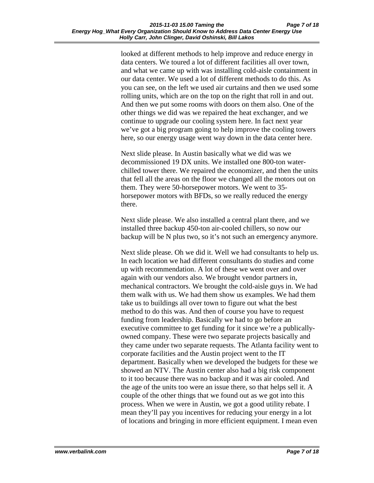looked at different methods to help improve and reduce energy in data centers. We toured a lot of different facilities all over town, and what we came up with was installing cold-aisle containment in our data center. We used a lot of different methods to do this. As you can see, on the left we used air curtains and then we used some rolling units, which are on the top on the right that roll in and out. And then we put some rooms with doors on them also. One of the other things we did was we repaired the heat exchanger, and we continue to upgrade our cooling system here. In fact next year we've got a big program going to help improve the cooling towers here, so our energy usage went way down in the data center here.

Next slide please. In Austin basically what we did was we decommissioned 19 DX units. We installed one 800-ton waterchilled tower there. We repaired the economizer, and then the units that fell all the areas on the floor we changed all the motors out on them. They were 50-horsepower motors. We went to 35 horsepower motors with BFDs, so we really reduced the energy there.

Next slide please. We also installed a central plant there, and we installed three backup 450-ton air-cooled chillers, so now our backup will be N plus two, so it's not such an emergency anymore.

Next slide please. Oh we did it. Well we had consultants to help us. In each location we had different consultants do studies and come up with recommendation. A lot of these we went over and over again with our vendors also. We brought vendor partners in, mechanical contractors. We brought the cold-aisle guys in. We had them walk with us. We had them show us examples. We had them take us to buildings all over town to figure out what the best method to do this was. And then of course you have to request funding from leadership. Basically we had to go before an executive committee to get funding for it since we're a publicallyowned company. These were two separate projects basically and they came under two separate requests. The Atlanta facility went to corporate facilities and the Austin project went to the IT department. Basically when we developed the budgets for these we showed an NTV. The Austin center also had a big risk component to it too because there was no backup and it was air cooled. And the age of the units too were an issue there, so that helps sell it. A couple of the other things that we found out as we got into this process. When we were in Austin, we got a good utility rebate. I mean they'll pay you incentives for reducing your energy in a lot of locations and bringing in more efficient equipment. I mean even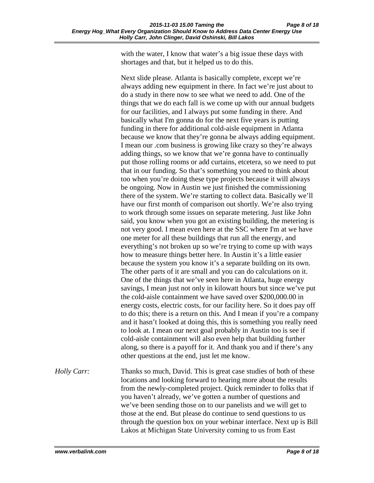with the water, I know that water's a big issue these days with shortages and that, but it helped us to do this.

Next slide please. Atlanta is basically complete, except we're always adding new equipment in there. In fact we're just about to do a study in there now to see what we need to add. One of the things that we do each fall is we come up with our annual budgets for our facilities, and I always put some funding in there. And basically what I'm gonna do for the next five years is putting funding in there for additional cold-aisle equipment in Atlanta because we know that they're gonna be always adding equipment. I mean our .com business is growing like crazy so they're always adding things, so we know that we're gonna have to continually put those rolling rooms or add curtains, etcetera, so we need to put that in our funding. So that's something you need to think about too when you're doing these type projects because it will always be ongoing. Now in Austin we just finished the commissioning there of the system. We're starting to collect data. Basically we'll have our first month of comparison out shortly. We're also trying to work through some issues on separate metering. Just like John said, you know when you got an existing building, the metering is not very good. I mean even here at the SSC where I'm at we have one meter for all these buildings that run all the energy, and everything's not broken up so we're trying to come up with ways how to measure things better here. In Austin it's a little easier because the system you know it's a separate building on its own. The other parts of it are small and you can do calculations on it. One of the things that we've seen here in Atlanta, huge energy savings, I mean just not only in kilowatt hours but since we've put the cold-aisle containment we have saved over \$200,000.00 in energy costs, electric costs, for our facility here. So it does pay off to do this; there is a return on this. And I mean if you're a company and it hasn't looked at doing this, this is something you really need to look at. I mean our next goal probably in Austin too is see if cold-aisle containment will also even help that building further along, so there is a payoff for it. And thank you and if there's any other questions at the end, just let me know.

*Holly Carr:* Thanks so much, David. This is great case studies of both of these locations and looking forward to hearing more about the results from the newly-completed project. Quick reminder to folks that if you haven't already, we've gotten a number of questions and we've been sending those on to our panelists and we will get to those at the end. But please do continue to send questions to us through the question box on your webinar interface. Next up is Bill Lakos at Michigan State University coming to us from East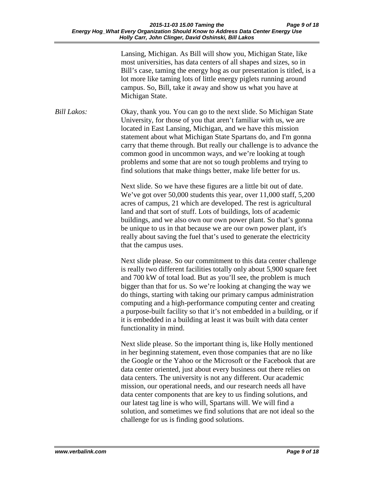Lansing, Michigan. As Bill will show you, Michigan State, like most universities, has data centers of all shapes and sizes, so in Bill's case, taming the energy hog as our presentation is titled, is a lot more like taming lots of little energy piglets running around campus. So, Bill, take it away and show us what you have at Michigan State.

*Bill Lakos:* Okay, thank you. You can go to the next slide. So Michigan State University, for those of you that aren't familiar with us, we are located in East Lansing, Michigan, and we have this mission statement about what Michigan State Spartans do, and I'm gonna carry that theme through. But really our challenge is to advance the common good in uncommon ways, and we're looking at tough problems and some that are not so tough problems and trying to find solutions that make things better, make life better for us.

> Next slide. So we have these figures are a little bit out of date. We've got over 50,000 students this year, over 11,000 staff, 5,200 acres of campus, 21 which are developed. The rest is agricultural land and that sort of stuff. Lots of buildings, lots of academic buildings, and we also own our own power plant. So that's gonna be unique to us in that because we are our own power plant, it's really about saving the fuel that's used to generate the electricity that the campus uses.

Next slide please. So our commitment to this data center challenge is really two different facilities totally only about 5,900 square feet and 700 kW of total load. But as you'll see, the problem is much bigger than that for us. So we're looking at changing the way we do things, starting with taking our primary campus administration computing and a high-performance computing center and creating a purpose-built facility so that it's not embedded in a building, or if it is embedded in a building at least it was built with data center functionality in mind.

Next slide please. So the important thing is, like Holly mentioned in her beginning statement, even those companies that are no like the Google or the Yahoo or the Microsoft or the Facebook that are data center oriented, just about every business out there relies on data centers. The university is not any different. Our academic mission, our operational needs, and our research needs all have data center components that are key to us finding solutions, and our latest tag line is who will, Spartans will. We will find a solution, and sometimes we find solutions that are not ideal so the challenge for us is finding good solutions.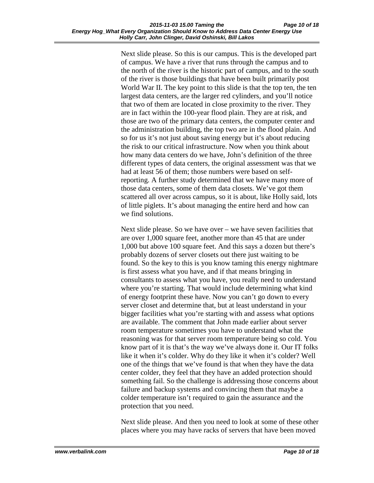Next slide please. So this is our campus. This is the developed part of campus. We have a river that runs through the campus and to the north of the river is the historic part of campus, and to the south of the river is those buildings that have been built primarily post World War II. The key point to this slide is that the top ten, the ten largest data centers, are the larger red cylinders, and you'll notice that two of them are located in close proximity to the river. They are in fact within the 100-year flood plain. They are at risk, and those are two of the primary data centers, the computer center and the administration building, the top two are in the flood plain. And so for us it's not just about saving energy but it's about reducing the risk to our critical infrastructure. Now when you think about how many data centers do we have, John's definition of the three different types of data centers, the original assessment was that we had at least 56 of them; those numbers were based on selfreporting. A further study determined that we have many more of those data centers, some of them data closets. We've got them scattered all over across campus, so it is about, like Holly said, lots of little piglets. It's about managing the entire herd and how can we find solutions.

Next slide please. So we have over – we have seven facilities that are over 1,000 square feet, another more than 45 that are under 1,000 but above 100 square feet. And this says a dozen but there's probably dozens of server closets out there just waiting to be found. So the key to this is you know taming this energy nightmare is first assess what you have, and if that means bringing in consultants to assess what you have, you really need to understand where you're starting. That would include determining what kind of energy footprint these have. Now you can't go down to every server closet and determine that, but at least understand in your bigger facilities what you're starting with and assess what options are available. The comment that John made earlier about server room temperature sometimes you have to understand what the reasoning was for that server room temperature being so cold. You know part of it is that's the way we've always done it. Our IT folks like it when it's colder. Why do they like it when it's colder? Well one of the things that we've found is that when they have the data center colder, they feel that they have an added protection should something fail. So the challenge is addressing those concerns about failure and backup systems and convincing them that maybe a colder temperature isn't required to gain the assurance and the protection that you need.

Next slide please. And then you need to look at some of these other places where you may have racks of servers that have been moved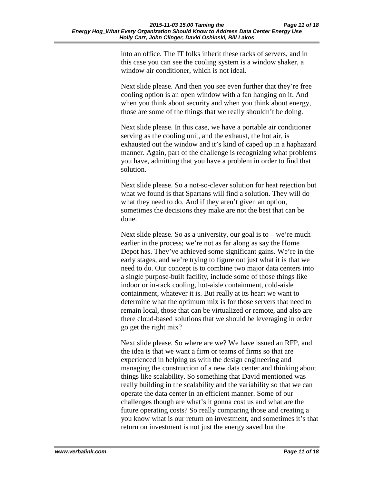into an office. The IT folks inherit these racks of servers, and in this case you can see the cooling system is a window shaker, a window air conditioner, which is not ideal.

Next slide please. And then you see even further that they're free cooling option is an open window with a fan hanging on it. And when you think about security and when you think about energy, those are some of the things that we really shouldn't be doing.

Next slide please. In this case, we have a portable air conditioner serving as the cooling unit, and the exhaust, the hot air, is exhausted out the window and it's kind of caped up in a haphazard manner. Again, part of the challenge is recognizing what problems you have, admitting that you have a problem in order to find that solution.

Next slide please. So a not-so-clever solution for heat rejection but what we found is that Spartans will find a solution. They will do what they need to do. And if they aren't given an option, sometimes the decisions they make are not the best that can be done.

Next slide please. So as a university, our goal is to  $-$  we're much earlier in the process; we're not as far along as say the Home Depot has. They've achieved some significant gains. We're in the early stages, and we're trying to figure out just what it is that we need to do. Our concept is to combine two major data centers into a single purpose-built facility, include some of those things like indoor or in-rack cooling, hot-aisle containment, cold-aisle containment, whatever it is. But really at its heart we want to determine what the optimum mix is for those servers that need to remain local, those that can be virtualized or remote, and also are there cloud-based solutions that we should be leveraging in order go get the right mix?

Next slide please. So where are we? We have issued an RFP, and the idea is that we want a firm or teams of firms so that are experienced in helping us with the design engineering and managing the construction of a new data center and thinking about things like scalability. So something that David mentioned was really building in the scalability and the variability so that we can operate the data center in an efficient manner. Some of our challenges though are what's it gonna cost us and what are the future operating costs? So really comparing those and creating a you know what is our return on investment, and sometimes it's that return on investment is not just the energy saved but the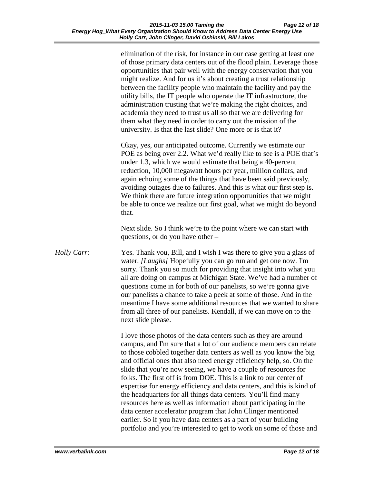elimination of the risk, for instance in our case getting at least one of those primary data centers out of the flood plain. Leverage those opportunities that pair well with the energy conservation that you might realize. And for us it's about creating a trust relationship between the facility people who maintain the facility and pay the utility bills, the IT people who operate the IT infrastructure, the administration trusting that we're making the right choices, and academia they need to trust us all so that we are delivering for them what they need in order to carry out the mission of the university. Is that the last slide? One more or is that it?

Okay, yes, our anticipated outcome. Currently we estimate our POE as being over 2.2. What we'd really like to see is a POE that's under 1.3, which we would estimate that being a 40-percent reduction, 10,000 megawatt hours per year, million dollars, and again echoing some of the things that have been said previously, avoiding outages due to failures. And this is what our first step is. We think there are future integration opportunities that we might be able to once we realize our first goal, what we might do beyond that.

Next slide. So I think we're to the point where we can start with questions, or do you have other –

*Holly Carr:* Yes. Thank you, Bill, and I wish I was there to give you a glass of water. *[Laughs]* Hopefully you can go run and get one now. I'm sorry. Thank you so much for providing that insight into what you all are doing on campus at Michigan State. We've had a number of questions come in for both of our panelists, so we're gonna give our panelists a chance to take a peek at some of those. And in the meantime I have some additional resources that we wanted to share from all three of our panelists. Kendall, if we can move on to the next slide please.

> I love those photos of the data centers such as they are around campus, and I'm sure that a lot of our audience members can relate to those cobbled together data centers as well as you know the big and official ones that also need energy efficiency help, so. On the slide that you're now seeing, we have a couple of resources for folks. The first off is from DOE. This is a link to our center of expertise for energy efficiency and data centers, and this is kind of the headquarters for all things data centers. You'll find many resources here as well as information about participating in the data center accelerator program that John Clinger mentioned earlier. So if you have data centers as a part of your building portfolio and you're interested to get to work on some of those and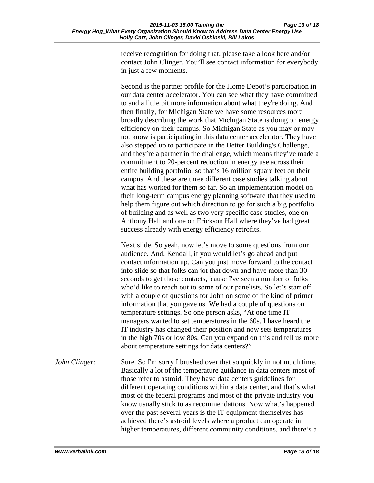receive recognition for doing that, please take a look here and/or contact John Clinger. You'll see contact information for everybody in just a few moments.

Second is the partner profile for the Home Depot's participation in our data center accelerator. You can see what they have committed to and a little bit more information about what they're doing. And then finally, for Michigan State we have some resources more broadly describing the work that Michigan State is doing on energy efficiency on their campus. So Michigan State as you may or may not know is participating in this data center accelerator. They have also stepped up to participate in the Better Building's Challenge, and they're a partner in the challenge, which means they've made a commitment to 20-percent reduction in energy use across their entire building portfolio, so that's 16 million square feet on their campus. And these are three different case studies talking about what has worked for them so far. So an implementation model on their long-term campus energy planning software that they used to help them figure out which direction to go for such a big portfolio of building and as well as two very specific case studies, one on Anthony Hall and one on Erickson Hall where they've had great success already with energy efficiency retrofits.

Next slide. So yeah, now let's move to some questions from our audience. And, Kendall, if you would let's go ahead and put contact information up. Can you just move forward to the contact info slide so that folks can jot that down and have more than 30 seconds to get those contacts, 'cause I've seen a number of folks who'd like to reach out to some of our panelists. So let's start off with a couple of questions for John on some of the kind of primer information that you gave us. We had a couple of questions on temperature settings. So one person asks, "At one time IT managers wanted to set temperatures in the 60s. I have heard the IT industry has changed their position and now sets temperatures in the high 70s or low 80s. Can you expand on this and tell us more about temperature settings for data centers?"

*John Clinger:* Sure. So I'm sorry I brushed over that so quickly in not much time. Basically a lot of the temperature guidance in data centers most of those refer to astroid. They have data centers guidelines for different operating conditions within a data center, and that's what most of the federal programs and most of the private industry you know usually stick to as recommendations. Now what's happened over the past several years is the IT equipment themselves has achieved there's astroid levels where a product can operate in higher temperatures, different community conditions, and there's a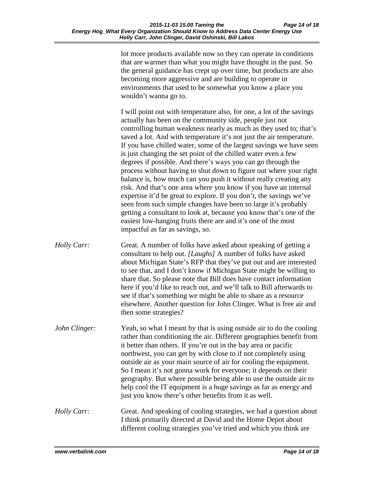lot more products available now so they can operate in conditions that are warmer than what you might have thought in the past. So the general guidance has crept up over time, but products are also becoming more aggressive and are building to operate in environments that used to be somewhat you know a place you wouldn't wanna go to.

I will point out with temperature also, for one, a lot of the savings actually has been on the community side, people just not controlling human weakness nearly as much as they used to; that's saved a lot. And with temperature it's not just the air temperature. If you have chilled water, some of the largest savings we have seen is just changing the set point of the chilled water even a few degrees if possible. And there's ways you can go through the process without having to shut down to figure out where your right balance is, how much can you push it without really creating any risk. And that's one area where you know if you have an internal expertise it'd be great to explore. If you don't, the savings we've seen from such simple changes have been so large it's probably getting a consultant to look at, because you know that's one of the easiest low-hanging fruits there are and it's one of the most impactful as far as savings, so.

- *Holly Carr:* Great. A number of folks have asked about speaking of getting a consultant to help out. *[Laughs]* A number of folks have asked about Michigan State's RFP that they've put out and are interested to see that, and I don't know if Michigan State might be willing to share that. So please note that Bill does have contact information here if you'd like to reach out, and we'll talk to Bill afterwards to see if that's something we might be able to share as a resource elsewhere. Another question for John Clinger. What is free air and then some strategies?
- *John Clinger:* Yeah, so what I meant by that is using outside air to do the cooling rather than conditioning the air. Different geographies benefit from it better than others. If you're out in the bay area or pacific northwest, you can get by with close to if not completely using outside air as your main source of air for cooling the equipment. So I mean it's not gonna work for everyone; it depends on their geography. But where possible being able to use the outside air to help cool the IT equipment is a huge savings as far as energy and just you know there's other benefits from it as well.
- *Holly Carr:* Great. And speaking of cooling strategies, we had a question about I think primarily directed at David and the Home Depot about different cooling strategies you've tried and which you think are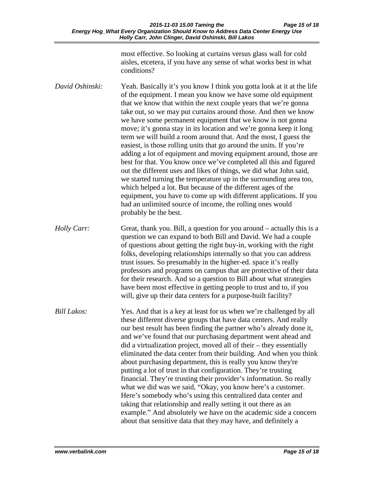most effective. So looking at curtains versus glass wall for cold aisles, etcetera, if you have any sense of what works best in what conditions?

- *David Oshinski:* Yeah. Basically it's you know I think you gotta look at it at the life of the equipment. I mean you know we have some old equipment that we know that within the next couple years that we're gonna take out, so we may put curtains around those. And then we know we have some permanent equipment that we know is not gonna move; it's gonna stay in its location and we're gonna keep it long term we will build a room around that. And the most, I guess the easiest, is those rolling units that go around the units. If you're adding a lot of equipment and moving equipment around, those are best for that. You know once we've completed all this and figured out the different uses and likes of things, we did what John said, we started turning the temperature up in the surrounding area too, which helped a lot. But because of the different ages of the equipment, you have to come up with different applications. If you had an unlimited source of income, the rolling ones would probably be the best.
- *Holly Carr:* Great, thank you. Bill, a question for you around actually this is a question we can expand to both Bill and David. We had a couple of questions about getting the right buy-in, working with the right folks, developing relationships internally so that you can address trust issues. So presumably in the higher-ed. space it's really professors and programs on campus that are protective of their data for their research. And so a question to Bill about what strategies have been most effective in getting people to trust and to, if you will, give up their data centers for a purpose-built facility?
- *Bill Lakos:* Yes. And that is a key at least for us when we're challenged by all these different diverse groups that have data centers. And really our best result has been finding the partner who's already done it, and we've found that our purchasing department went ahead and did a virtualization project, moved all of their – they essentially eliminated the data center from their building. And when you think about purchasing department, this is really you know they're putting a lot of trust in that configuration. They're trusting financial. They're trusting their provider's information. So really what we did was we said, "Okay, you know here's a customer. Here's somebody who's using this centralized data center and taking that relationship and really setting it out there as an example." And absolutely we have on the academic side a concern about that sensitive data that they may have, and definitely a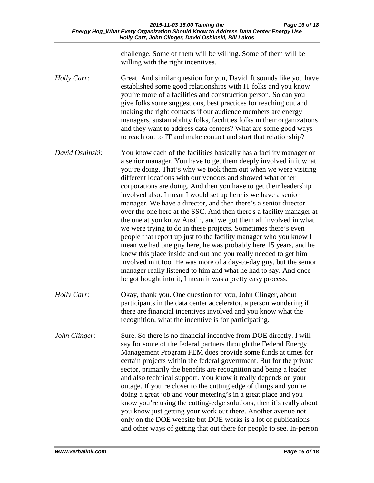challenge. Some of them will be willing. Some of them will be willing with the right incentives.

- *Holly Carr:* Great. And similar question for you, David. It sounds like you have established some good relationships with IT folks and you know you're more of a facilities and construction person. So can you give folks some suggestions, best practices for reaching out and making the right contacts if our audience members are energy managers, sustainability folks, facilities folks in their organizations and they want to address data centers? What are some good ways to reach out to IT and make contact and start that relationship?
- *David Oshinski:* You know each of the facilities basically has a facility manager or a senior manager. You have to get them deeply involved in it what you're doing. That's why we took them out when we were visiting different locations with our vendors and showed what other corporations are doing. And then you have to get their leadership involved also. I mean I would set up here is we have a senior manager. We have a director, and then there's a senior director over the one here at the SSC. And then there's a facility manager at the one at you know Austin, and we got them all involved in what we were trying to do in these projects. Sometimes there's even people that report up just to the facility manager who you know I mean we had one guy here, he was probably here 15 years, and he knew this place inside and out and you really needed to get him involved in it too. He was more of a day-to-day guy, but the senior manager really listened to him and what he had to say. And once he got bought into it, I mean it was a pretty easy process.
- *Holly Carr:* Okay, thank you. One question for you, John Clinger, about participants in the data center accelerator, a person wondering if there are financial incentives involved and you know what the recognition, what the incentive is for participating.
- *John Clinger:* Sure. So there is no financial incentive from DOE directly. I will say for some of the federal partners through the Federal Energy Management Program FEM does provide some funds at times for certain projects within the federal government. But for the private sector, primarily the benefits are recognition and being a leader and also technical support. You know it really depends on your outage. If you're closer to the cutting edge of things and you're doing a great job and your metering's in a great place and you know you're using the cutting-edge solutions, then it's really about you know just getting your work out there. Another avenue not only on the DOE website but DOE works is a lot of publications and other ways of getting that out there for people to see. In-person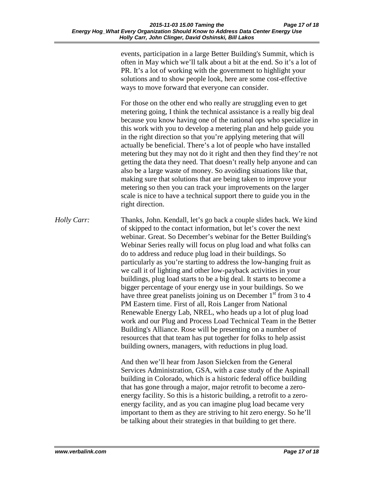events, participation in a large Better Building's Summit, which is often in May which we'll talk about a bit at the end. So it's a lot of PR. It's a lot of working with the government to highlight your solutions and to show people look, here are some cost-effective ways to move forward that everyone can consider.

For those on the other end who really are struggling even to get metering going, I think the technical assistance is a really big deal because you know having one of the national ops who specialize in this work with you to develop a metering plan and help guide you in the right direction so that you're applying metering that will actually be beneficial. There's a lot of people who have installed metering but they may not do it right and then they find they're not getting the data they need. That doesn't really help anyone and can also be a large waste of money. So avoiding situations like that, making sure that solutions that are being taken to improve your metering so then you can track your improvements on the larger scale is nice to have a technical support there to guide you in the right direction.

*Holly Carr:* Thanks, John. Kendall, let's go back a couple slides back. We kind of skipped to the contact information, but let's cover the next webinar. Great. So December's webinar for the Better Building's Webinar Series really will focus on plug load and what folks can do to address and reduce plug load in their buildings. So particularly as you're starting to address the low-hanging fruit as we call it of lighting and other low-payback activities in your buildings, plug load starts to be a big deal. It starts to become a bigger percentage of your energy use in your buildings. So we have three great panelists joining us on December  $1<sup>st</sup>$  from 3 to 4 PM Eastern time. First of all, Rois Langer from National Renewable Energy Lab, NREL, who heads up a lot of plug load work and our Plug and Process Load Technical Team in the Better Building's Alliance. Rose will be presenting on a number of resources that that team has put together for folks to help assist building owners, managers, with reductions in plug load.

> And then we'll hear from Jason Sielcken from the General Services Administration, GSA, with a case study of the Aspinall building in Colorado, which is a historic federal office building that has gone through a major, major retrofit to become a zeroenergy facility. So this is a historic building, a retrofit to a zeroenergy facility, and as you can imagine plug load became very important to them as they are striving to hit zero energy. So he'll be talking about their strategies in that building to get there.